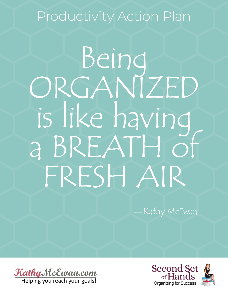# Productivity Action Plan

# Being<br>ORGANIZED is like having a BREATH of FRESH AIR

—Kathy McEwan

Kathy McEwan.com Helping you reach your goals!

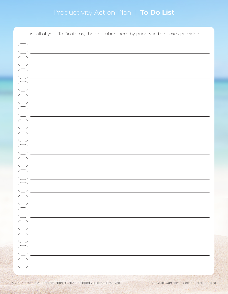## Productivity Action Plan | **To Do List**

| List all of your To Do items, then number them by priority in the boxes provided. |
|-----------------------------------------------------------------------------------|
|                                                                                   |
|                                                                                   |
|                                                                                   |
|                                                                                   |
|                                                                                   |
| <u> 1989 - Johann Barn, mars eta bainar eta idazlea (</u>                         |
|                                                                                   |
|                                                                                   |
|                                                                                   |
|                                                                                   |
|                                                                                   |
|                                                                                   |
|                                                                                   |
|                                                                                   |
|                                                                                   |
|                                                                                   |
|                                                                                   |
|                                                                                   |
|                                                                                   |
|                                                                                   |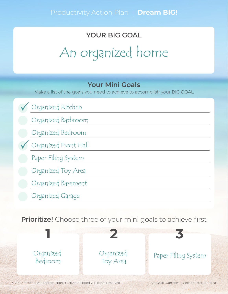# **YOUR BIG GOAL** An organized home

#### **Your Mini Goals**

Make a list of the goals you need to achieve to accomplish your BIG GOAL

Organized Kitchen Organized Bathroom Organized Bedroom Organized Front Hall Paper Filing System Organized Toy Area Organized Basement Organized Garage  $\bigvee$ 

**Prioritize!** Choose three of your mini goals to achieve first

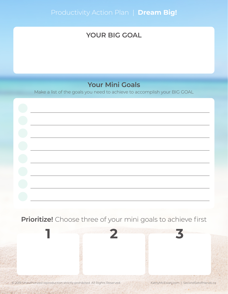#### **YOUR BIG GOAL**

#### **Your Mini Goals**

Make a list of the goals you need to achieve to accomplish your BIG GOAL

#### **Prioritize!** Choose three of your mini goals to achieve first

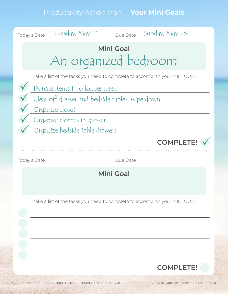## Productivity Action Plan | **Your Mini Goals**

| Today's Date Tuesday, May 21 Due Date Sunday, May 26                       |
|----------------------------------------------------------------------------|
| <b>Mini Goal</b><br>An organized bedroom                                   |
| Make a list of the tasks you need to complete to accomplish your MINI GOAL |
| Donate items I no longer need                                              |
| Clear off dresser and bedside tables, wipe down                            |
| Organize closet                                                            |
| Organize clothes in dresser                                                |
| Organize bedside table drawers                                             |
| <b>COMPLETE!</b>                                                           |
|                                                                            |
| <b>Mini Goal</b>                                                           |
| Make a list of the tasks you need to complete to accomplish your MINI GOAL |
|                                                                            |
|                                                                            |
|                                                                            |
|                                                                            |
| <b>COMPLETE!</b>                                                           |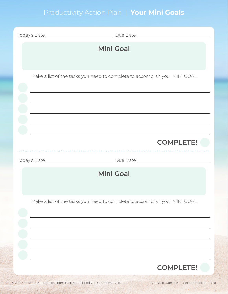## Productivity Action Plan | **Your Mini Goals**

| <b>Mini Goal</b>                                                           |
|----------------------------------------------------------------------------|
| Make a list of the tasks you need to complete to accomplish your MINI GOAL |
| <b>COMPLETE!</b>                                                           |
| <b>Mini Goal</b>                                                           |
| Make a list of the tasks you need to complete to accomplish your MINI GOAL |
| <b>COMPLETE!</b>                                                           |